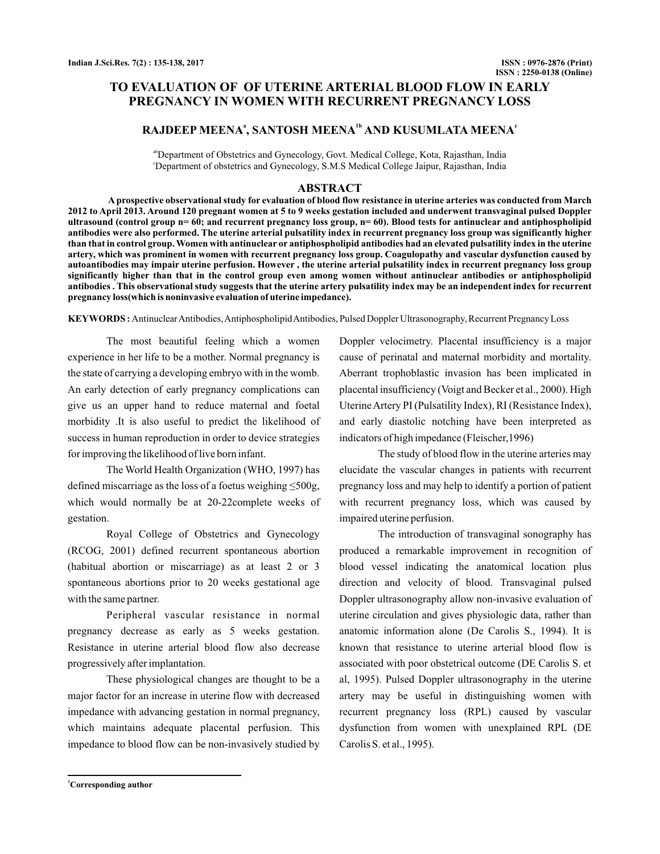## **TO EVALUATION OF OF UTERINE ARTERIAL BLOOD FLOW IN EARLY PREGNANCY IN WOMEN WITH RECURRENT PREGNANCY LOSS**

# **RAJDEEP MEENA<sup>ª</sup>, SANTOSH MEENA<sup>ª</sup><sup></sup> AND KUSUMLATA MEENA<sup><sup>***c***</sup>**</sup>

abDepartment of Obstetrics and Gynecology, Govt. Medical College, Kota, Rajasthan, India c Department of obstetrics and Gynecology, S.M.S Medical College Jaipur, Rajasthan, India

### **ABSTRACT**

**A prospective observational study for evaluation of blood flow resistance in uterine arteries was conducted from March 2012 to April 2013. Around 120 pregnant women at 5 to 9 weeks gestation included and underwent transvaginal pulsed Doppler ultrasound (control group n= 60; and recurrent pregnancy loss group, n= 60). Blood tests for antinuclear and antiphospholipid antibodies were also performed. The uterine arterial pulsatility index in recurrent pregnancy loss group was significantly higher than that in control group. Women with antinuclear or antiphospholipid antibodies had an elevated pulsatility index in the uterine artery, which was prominent in women with recurrent pregnancy loss group. Coagulopathy and vascular dysfunction caused by autoantibodies may impair uterine perfusion. However , the uterine arterial pulsatility index in recurrent pregnancy loss group significantly higher than that in the control group even among women without antinuclear antibodies or antiphospholipid antibodies . This observational study suggests that the uterine artery pulsatility index may be an independent index for recurrent pregnancy loss(which is noninvasive evaluation of uterine impedance).**

AntinuclearAntibodies,AntiphospholipidAntibodies, Pulsed Doppler Ultrasonography, Recurrent Pregnancy Loss **KEYWORDS :**

The most beautiful feeling which a women experience in her life to be a mother. Normal pregnancy is the state of carrying a developing embryo with in the womb. An early detection of early pregnancy complications can give us an upper hand to reduce maternal and foetal morbidity .It is also useful to predict the likelihood of success in human reproduction in order to device strategies for improving the likelihood of live born infant.

The World Health Organization (WHO, 1997) has defined miscarriage as the loss of a foetus weighing ≤500g, which would normally be at 20-22complete weeks of gestation.

Royal College of Obstetrics and Gynecology (RCOG, 2001) defined recurrent spontaneous abortion (habitual abortion or miscarriage) as at least 2 or 3 spontaneous abortions prior to 20 weeks gestational age with the same partner.

Peripheral vascular resistance in normal pregnancy decrease as early as 5 weeks gestation. Resistance in uterine arterial blood flow also decrease progressively after implantation.

These physiological changes are thought to be a major factor for an increase in uterine flow with decreased impedance with advancing gestation in normal pregnancy, which maintains adequate placental perfusion. This impedance to blood flow can be non-invasively studied by Doppler velocimetry. Placental insufficiency is a major cause of perinatal and maternal morbidity and mortality. Aberrant trophoblastic invasion has been implicated in placental insufficiency (Voigt and Becker et al., 2000). High UterineArtery PI (Pulsatility Index), RI (Resistance Index), and early diastolic notching have been interpreted as indicators of high impedance (Fleischer,1996)

The study of blood flow in the uterine arteries may elucidate the vascular changes in patients with recurrent pregnancy loss and may help to identify a portion of patient with recurrent pregnancy loss, which was caused by impaired uterine perfusion.

The introduction of transvaginal sonography has produced a remarkable improvement in recognition of blood vessel indicating the anatomical location plus direction and velocity of blood. Transvaginal pulsed Doppler ultrasonography allow non-invasive evaluation of uterine circulation and gives physiologic data, rather than anatomic information alone (De Carolis S., 1994). It is known that resistance to uterine arterial blood flow is associated with poor obstetrical outcome (DE Carolis S. et al, 1995). Pulsed Doppler ultrasonography in the uterine artery may be useful in distinguishing women with recurrent pregnancy loss (RPL) caused by vascular dysfunction from women with unexplained RPL (DE Carolis S. et al., 1995).

**<sup>1</sup>Corresponding author**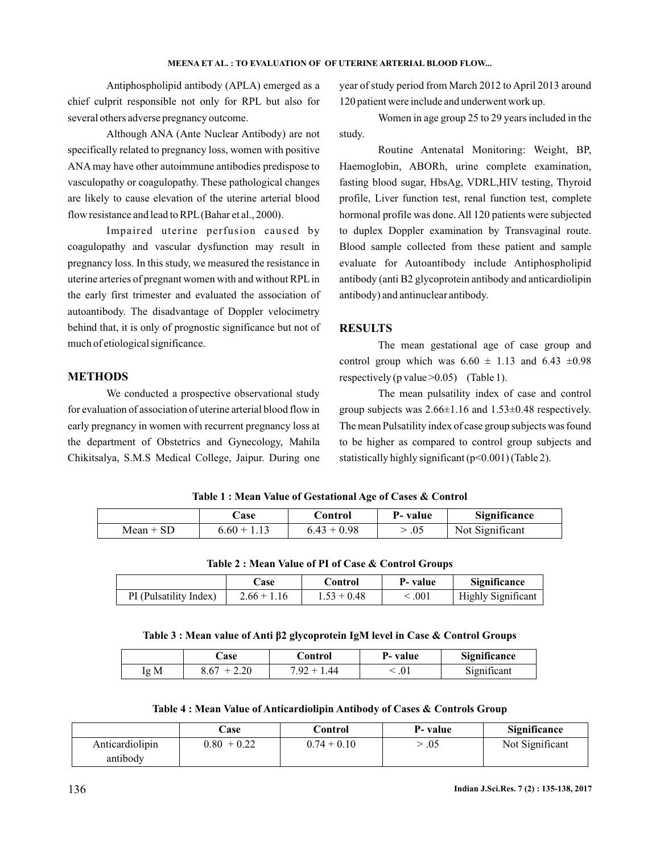#### **MEENA ET AL. : TO EVALUATION OF OF UTERINE ARTERIAL BLOOD FLOW...**

Antiphospholipid antibody (APLA) emerged as a chief culprit responsible not only for RPL but also for several others adverse pregnancy outcome.

Although ANA (Ante Nuclear Antibody) are not specifically related to pregnancy loss, women with positive ANA may have other autoimmune antibodies predispose to vasculopathy or coagulopathy. These pathological changes are likely to cause elevation of the uterine arterial blood flow resistance and lead to RPL (Bahar et al., 2000).

Impaired uterine perfusion caused by coagulopathy and vascular dysfunction may result in pregnancy loss. In this study, we measured the resistance in uterine arteries of pregnant women with and without RPLin the early first trimester and evaluated the association of autoantibody. The disadvantage of Doppler velocimetry behind that, it is only of prognostic significance but not of much of etiological significance.

## **METHODS**

We conducted a prospective observational study for evaluation of association of uterine arterial blood flow in early pregnancy in women with recurrent pregnancy loss at the department of Obstetrics and Gynecology, Mahila Chikitsalya, S.M.S Medical College, Jaipur. During one

year of study period from March 2012 to April 2013 around 120 patient were include and underwent work up.

Women in age group 25 to 29 years included in the study.

Routine Antenatal Monitoring: Weight, BP, Haemoglobin, ABORh, urine complete examination, fasting blood sugar, HbsAg, VDRL,HIV testing, Thyroid profile, Liver function test, renal function test, complete hormonal profile was done. All 120 patients were subjected to duplex Doppler examination by Transvaginal route. Blood sample collected from these patient and sample evaluate for Autoantibody include Antiphospholipid antibody (anti B2 glycoprotein antibody and anticardiolipin antibody) and antinuclear antibody.

## **RESULTS**

The mean gestational age of case group and control group which was  $6.60 \pm 1.13$  and  $6.43 \pm 0.98$ respectively (p value  $>0.05$ ) (Table 1).

The mean pulsatility index of case and control group subjects was 2.66±1.16 and 1.53±0.48 respectively. The mean Pulsatility index of case group subjects was found to be higher as compared to control group subjects and statistically highly significant  $(p<0.001)$  (Table 2).

**Table 1 : Mean Value of Gestational Age of Cases & Control**

|             | ase.          | Control       | P- value | <b>Significance</b> |
|-------------|---------------|---------------|----------|---------------------|
| $Mean + SD$ | $6.60 + 1.13$ | $6.43 + 0.98$ | .05      | Not Significant     |

**Table 2 : Mean Value of PI of Case & Control Groups**

|                        | ∴ase          | Control       | P- value | <b>Significance</b>       |
|------------------------|---------------|---------------|----------|---------------------------|
| PI (Pulsatility Index) | $2.66 + 1.16$ | $1.53 + 0.48$ | .001     | <b>Highly Significant</b> |

#### Table 3 : Mean value of Anti β2 glycoprotein IgM level in Case & Control Groups

|      | <b>Case</b> | Control                      | P- value | Significance |
|------|-------------|------------------------------|----------|--------------|
| Ig M | 2.20        | .44<br><sup>7</sup> .92<br>- | .v.      | Significant  |

**Table 4 : Mean Value of Anticardiolipin Antibody of Cases & Controls Group**

|                 | $\mathbb C$ ase | Control       | P- value | Significance    |
|-----------------|-----------------|---------------|----------|-----------------|
| Anticardiolipin | $0.80 + 0.22$   | $0.74 + 0.10$ | .05      | Not Significant |
| antibody        |                 |               |          |                 |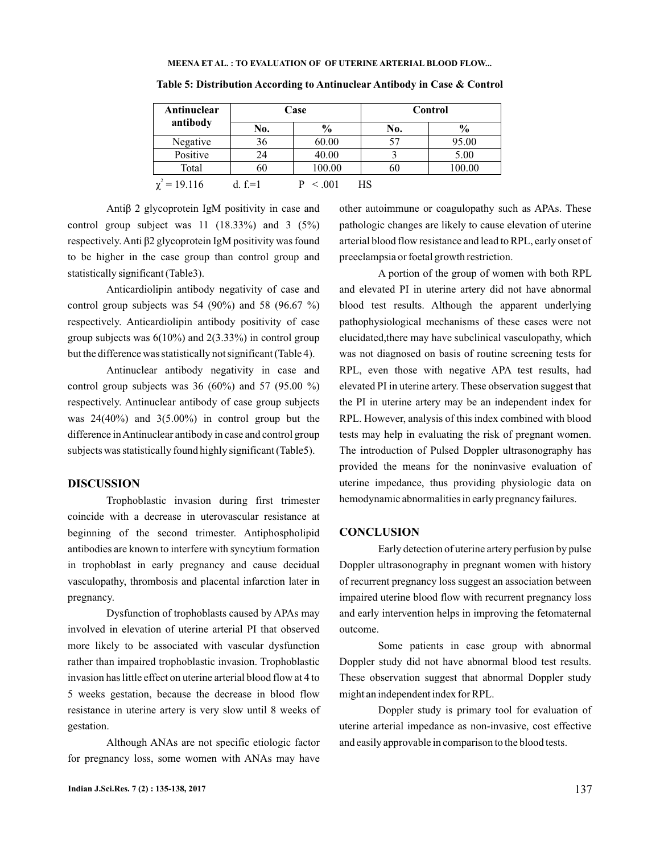| Antinuclear       | Case       |        | Control |        |
|-------------------|------------|--------|---------|--------|
| antibody          | No.        | $\%$   | No.     | $\%$   |
| Negative          | 36         | 60.00  | 57      | 95.00  |
| Positive          | 24         | 40.00  |         | 5.00   |
| Total             | 60         | 100.00 | 60      | 100.00 |
| $\chi^2 = 19.116$ | d. $f = 1$ | < 0.01 | НS      |        |

**Table 5: Distribution According to Antinuclear Antibody in Case & Control**

statistically significant (Table3). Antiβ 2 glycoprotein IgM positivity in case and control group subject was  $11$   $(18.33\%)$  and  $3$   $(5\%)$ respectively.Anti β2 glycoprotein IgM positivity was found to be higher in the case group than control group and

Anticardiolipin antibody negativity of case and control group subjects was 54 (90%) and 58 (96.67 %) respectively. Anticardiolipin antibody positivity of case group subjects was  $6(10\%)$  and  $2(3.33\%)$  in control group but the difference was statistically not significant (Table 4).

Antinuclear antibody negativity in case and control group subjects was  $36 (60\%)$  and  $57 (95.00\%)$ respectively. Antinuclear antibody of case group subjects was 24(40%) and 3(5.00%) in control group but the difference inAntinuclear antibody in case and control group subjects was statistically found highly significant (Table5).

#### **DISCUSSION**

Trophoblastic invasion during first trimester coincide with a decrease in uterovascular resistance at beginning of the second trimester. Antiphospholipid antibodies are known to interfere with syncytium formation in trophoblast in early pregnancy and cause decidual vasculopathy, thrombosis and placental infarction later in pregnancy.

Dysfunction of trophoblasts caused by APAs may involved in elevation of uterine arterial PI that observed more likely to be associated with vascular dysfunction rather than impaired trophoblastic invasion. Trophoblastic invasion has little effect on uterine arterial blood flow at 4 to 5 weeks gestation, because the decrease in blood flow resistance in uterine artery is very slow until 8 weeks of gestation.

Although ANAs are not specific etiologic factor for pregnancy loss, some women with ANAs may have

other autoimmune or coagulopathy such as APAs. These pathologic changes are likely to cause elevation of uterine arterial blood flow resistance and lead to RPL, early onset of preeclampsia or foetal growth restriction.

A portion of the group of women with both RPL and elevated PI in uterine artery did not have abnormal blood test results. Although the apparent underlying pathophysiological mechanisms of these cases were not elucidated,there may have subclinical vasculopathy, which was not diagnosed on basis of routine screening tests for RPL, even those with negative APA test results, had elevated PI in uterine artery. These observation suggest that the PI in uterine artery may be an independent index for RPL. However, analysis of this index combined with blood tests may help in evaluating the risk of pregnant women. The introduction of Pulsed Doppler ultrasonography has provided the means for the noninvasive evaluation of uterine impedance, thus providing physiologic data on hemodynamic abnormalities in early pregnancy failures.

### **CONCLUSION**

Early detection of uterine artery perfusion by pulse Doppler ultrasonography in pregnant women with history of recurrent pregnancy loss suggest an association between impaired uterine blood flow with recurrent pregnancy loss and early intervention helps in improving the fetomaternal outcome.

Some patients in case group with abnormal Doppler study did not have abnormal blood test results. These observation suggest that abnormal Doppler study might an independent index for RPL.

Doppler study is primary tool for evaluation of uterine arterial impedance as non-invasive, cost effective and easily approvable in comparison to the blood tests.